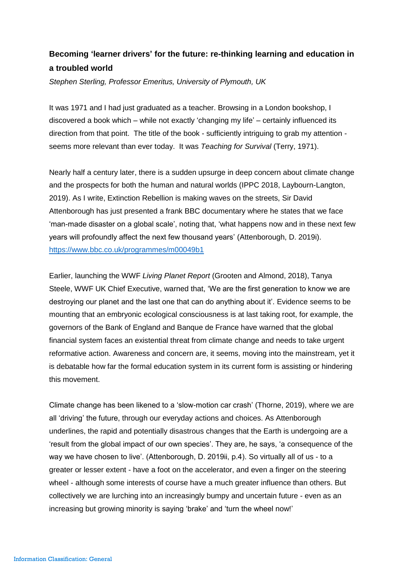## **Becoming 'learner drivers' for the future: re-thinking learning and education in a troubled world**

*Stephen Sterling, Professor Emeritus, University of Plymouth, UK*

It was 1971 and I had just graduated as a teacher. Browsing in a London bookshop, I discovered a book which – while not exactly 'changing my life' – certainly influenced its direction from that point. The title of the book - sufficiently intriguing to grab my attention seems more relevant than ever today. It was *Teaching for Survival* (Terry, 1971).

Nearly half a century later, there is a sudden upsurge in deep concern about climate change and the prospects for both the human and natural worlds (IPPC 2018, Laybourn-Langton, 2019). As I write, Extinction Rebellion is making waves on the streets, Sir David Attenborough has just presented a frank BBC documentary where he states that we face 'man-made disaster on a global scale', noting that, 'what happens now and in these next few years will profoundly affect the next few thousand years' (Attenborough, D. 2019i). <https://www.bbc.co.uk/programmes/m00049b1>

Earlier, launching the WWF *Living Planet Report* (Grooten and Almond, 2018), Tanya Steele, WWF UK Chief Executive, warned that, 'We are the first generation to know we are destroying our planet and the last one that can do anything about it'. Evidence seems to be mounting that an embryonic ecological consciousness is at last taking root, for example, the governors of the Bank of England and Banque de France have warned that the global financial system faces an existential threat from climate change and needs to take urgent reformative action. Awareness and concern are, it seems, moving into the mainstream, yet it is debatable how far the formal education system in its current form is assisting or hindering this movement.

Climate change has been likened to a 'slow-motion car crash' (Thorne, 2019), where we are all 'driving' the future, through our everyday actions and choices. As Attenborough underlines, the rapid and potentially disastrous changes that the Earth is undergoing are a 'result from the global impact of our own species'. They are, he says, 'a consequence of the way we have chosen to live'. (Attenborough, D. 2019ii, p.4). So virtually all of us - to a greater or lesser extent - have a foot on the accelerator, and even a finger on the steering wheel - although some interests of course have a much greater influence than others. But collectively we are lurching into an increasingly bumpy and uncertain future - even as an increasing but growing minority is saying 'brake' and 'turn the wheel now!'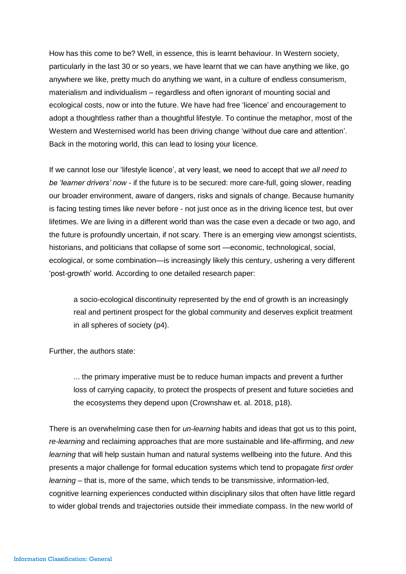How has this come to be? Well, in essence, this is learnt behaviour. In Western society, particularly in the last 30 or so years, we have learnt that we can have anything we like, go anywhere we like, pretty much do anything we want, in a culture of endless consumerism, materialism and individualism – regardless and often ignorant of mounting social and ecological costs, now or into the future. We have had free 'licence' and encouragement to adopt a thoughtless rather than a thoughtful lifestyle. To continue the metaphor, most of the Western and Westernised world has been driving change 'without due care and attention'. Back in the motoring world, this can lead to losing your licence.

If we cannot lose our 'lifestyle licence', at very least, we need to accept that *we all need to be 'learner drivers' now* - if the future is to be secured: more care-full, going slower, reading our broader environment, aware of dangers, risks and signals of change. Because humanity is facing testing times like never before - not just once as in the driving licence test, but over lifetimes. We are living in a different world than was the case even a decade or two ago, and the future is profoundly uncertain, if not scary. There is an emerging view amongst scientists, historians, and politicians that collapse of some sort —economic, technological, social, ecological, or some combination—is increasingly likely this century, ushering a very different 'post-growth' world. According to one detailed research paper:

a socio-ecological discontinuity represented by the end of growth is an increasingly real and pertinent prospect for the global community and deserves explicit treatment in all spheres of society (p4).

Further, the authors state:

... the primary imperative must be to reduce human impacts and prevent a further loss of carrying capacity, to protect the prospects of present and future societies and the ecosystems they depend upon (Crownshaw et. al. 2018, p18).

There is an overwhelming case then for *un-learning* habits and ideas that got us to this point, *re-learning* and reclaiming approaches that are more sustainable and life-affirming, and *new learning* that will help sustain human and natural systems wellbeing into the future. And this presents a major challenge for formal education systems which tend to propagate *first order learning* – that is, more of the same, which tends to be transmissive, information-led, cognitive learning experiences conducted within disciplinary silos that often have little regard to wider global trends and trajectories outside their immediate compass. In the new world of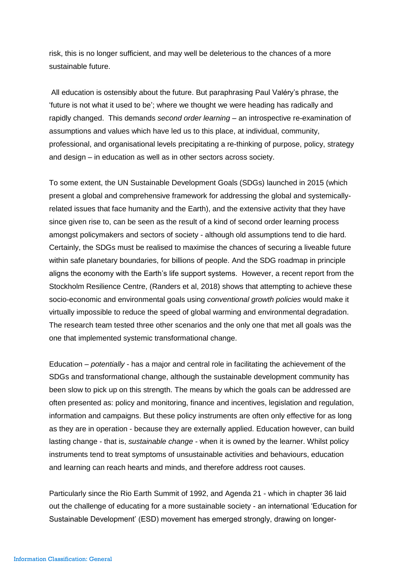risk, this is no longer sufficient, and may well be deleterious to the chances of a more sustainable future.

All education is ostensibly about the future. But paraphrasing Paul Valéry's phrase, the 'future is not what it used to be'; where we thought we were heading has radically and rapidly changed. This demands *second order learning* – an introspective re-examination of assumptions and values which have led us to this place, at individual, community, professional, and organisational levels precipitating a re-thinking of purpose, policy, strategy and design – in education as well as in other sectors across society.

To some extent, the UN Sustainable Development Goals (SDGs) launched in 2015 (which present a global and comprehensive framework for addressing the global and systemicallyrelated issues that face humanity and the Earth), and the extensive activity that they have since given rise to, can be seen as the result of a kind of second order learning process amongst policymakers and sectors of society - although old assumptions tend to die hard. Certainly, the SDGs must be realised to maximise the chances of securing a liveable future within safe planetary boundaries, for billions of people. And the SDG roadmap in principle aligns the economy with the Earth's life support systems. However, a recent report from the Stockholm Resilience Centre, (Randers et al, 2018) shows that attempting to achieve these socio-economic and environmental goals using *conventional growth policies* would make it virtually impossible to reduce the speed of global warming and environmental degradation. The research team tested three other scenarios and the only one that met all goals was the one that implemented systemic transformational change.

Education – *potentially* - has a major and central role in facilitating the achievement of the SDGs and transformational change, although the sustainable development community has been slow to pick up on this strength. The means by which the goals can be addressed are often presented as: policy and monitoring, finance and incentives, legislation and regulation, information and campaigns. But these policy instruments are often only effective for as long as they are in operation - because they are externally applied. Education however, can build lasting change - that is, *sustainable change -* when it is owned by the learner. Whilst policy instruments tend to treat symptoms of unsustainable activities and behaviours, education and learning can reach hearts and minds, and therefore address root causes.

Particularly since the Rio Earth Summit of 1992, and Agenda 21 - which in chapter 36 laid out the challenge of educating for a more sustainable society - an international 'Education for Sustainable Development' (ESD) movement has emerged strongly, drawing on longer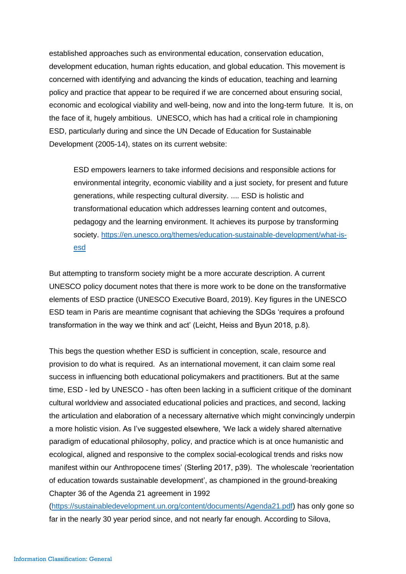established approaches such as environmental education, conservation education, development education, human rights education, and global education. This movement is concerned with identifying and advancing the kinds of education, teaching and learning policy and practice that appear to be required if we are concerned about ensuring social, economic and ecological viability and well-being, now and into the long-term future*.* It is, on the face of it, hugely ambitious. UNESCO, which has had a critical role in championing ESD, particularly during and since the UN Decade of Education for Sustainable Development (2005-14), states on its current website:

ESD empowers learners to take informed decisions and responsible actions for environmental integrity, economic viability and a just society, for present and future generations, while respecting cultural diversity. .... ESD is holistic and transformational education which addresses learning content and outcomes, pedagogy and the learning environment. It achieves its purpose by transforming society. [https://en.unesco.org/themes/education-sustainable-development/what-is](https://en.unesco.org/themes/education-sustainable-development/what-is-esd)[esd](https://en.unesco.org/themes/education-sustainable-development/what-is-esd)

But attempting to transform society might be a more accurate description. A current UNESCO policy document notes that there is more work to be done on the transformative elements of ESD practice (UNESCO Executive Board, 2019). Key figures in the UNESCO ESD team in Paris are meantime cognisant that achieving the SDGs 'requires a profound transformation in the way we think and act' (Leicht, Heiss and Byun 2018, p.8).

This begs the question whether ESD is sufficient in conception, scale, resource and provision to do what is required. As an international movement, it can claim some real success in influencing both educational policymakers and practitioners. But at the same time, ESD - led by UNESCO - has often been lacking in a sufficient critique of the dominant cultural worldview and associated educational policies and practices, and second, lacking the articulation and elaboration of a necessary alternative which might convincingly underpin a more holistic vision. As I've suggested elsewhere, 'We lack a widely shared alternative paradigm of educational philosophy, policy, and practice which is at once humanistic and ecological, aligned and responsive to the complex social-ecological trends and risks now manifest within our Anthropocene times' (Sterling 2017, p39). The wholescale 'reorientation of education towards sustainable development', as championed in the ground-breaking Chapter 36 of the Agenda 21 agreement in 1992

[\(https://sustainabledevelopment.un.org/content/documents/Agenda21.pdf\)](https://sustainabledevelopment.un.org/content/documents/Agenda21.pdf) has only gone so far in the nearly 30 year period since, and not nearly far enough. According to Silova,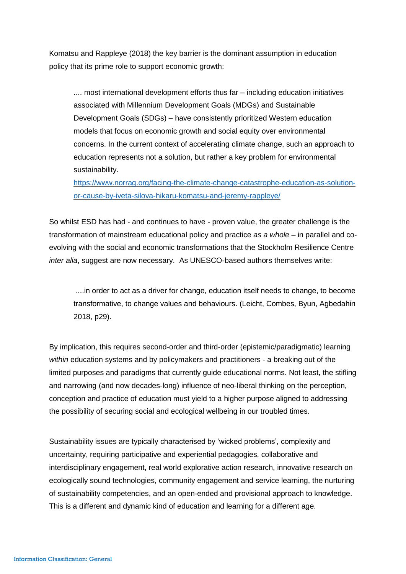Komatsu and Rappleye (2018) the key barrier is the dominant assumption in education policy that its prime role to support economic growth:

.... most international development efforts thus far – including education initiatives associated with Millennium Development Goals (MDGs) and Sustainable Development Goals (SDGs) – have consistently prioritized Western education models that focus on economic growth and social equity over environmental concerns. In the current context of accelerating climate change, such an approach to education represents not a solution, but rather a key problem for environmental sustainability.

[https://www.norrag.org/facing-the-climate-change-catastrophe-education-as-solution](https://www.norrag.org/facing-the-climate-change-catastrophe-education-as-solution-or-cause-by-iveta-silova-hikaru-komatsu-and-jeremy-rappleye/)[or-cause-by-iveta-silova-hikaru-komatsu-and-jeremy-rappleye/](https://www.norrag.org/facing-the-climate-change-catastrophe-education-as-solution-or-cause-by-iveta-silova-hikaru-komatsu-and-jeremy-rappleye/)

So whilst ESD has had - and continues to have - proven value, the greater challenge is the transformation of mainstream educational policy and practice *as a whole –* in parallel and coevolving with the social and economic transformations that the Stockholm Resilience Centre *inter alia*, suggest are now necessary. As UNESCO-based authors themselves write:

....in order to act as a driver for change, education itself needs to change, to become transformative, to change values and behaviours. (Leicht, Combes, Byun, Agbedahin 2018, p29).

By implication, this requires second-order and third-order (epistemic/paradigmatic) learning *within* education systems and by policymakers and practitioners - a breaking out of the limited purposes and paradigms that currently guide educational norms. Not least, the stifling and narrowing (and now decades-long) influence of neo-liberal thinking on the perception, conception and practice of education must yield to a higher purpose aligned to addressing the possibility of securing social and ecological wellbeing in our troubled times.

Sustainability issues are typically characterised by 'wicked problems', complexity and uncertainty, requiring participative and experiential pedagogies, collaborative and interdisciplinary engagement, real world explorative action research, innovative research on ecologically sound technologies, community engagement and service learning, the nurturing of sustainability competencies, and an open-ended and provisional approach to knowledge. This is a different and dynamic kind of education and learning for a different age.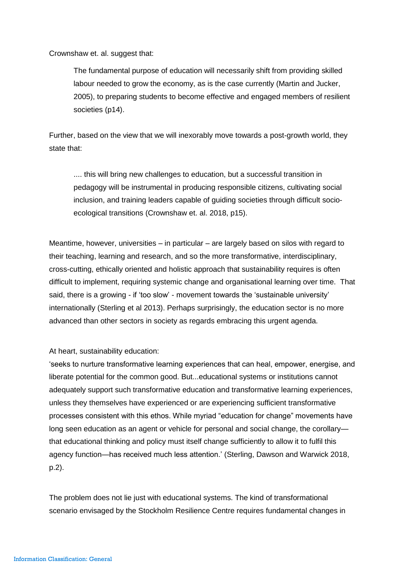Crownshaw et. al. suggest that:

The fundamental purpose of education will necessarily shift from providing skilled labour needed to grow the economy, as is the case currently (Martin and Jucker, 2005), to preparing students to become effective and engaged members of resilient societies (p14).

Further, based on the view that we will inexorably move towards a post-growth world, they state that:

.... this will bring new challenges to education, but a successful transition in pedagogy will be instrumental in producing responsible citizens, cultivating social inclusion, and training leaders capable of guiding societies through difficult socioecological transitions (Crownshaw et. al. 2018, p15).

Meantime, however, universities – in particular – are largely based on silos with regard to their teaching, learning and research, and so the more transformative, interdisciplinary, cross-cutting, ethically oriented and holistic approach that sustainability requires is often difficult to implement, requiring systemic change and organisational learning over time. That said, there is a growing - if 'too slow' - movement towards the 'sustainable university' internationally (Sterling et al 2013). Perhaps surprisingly, the education sector is no more advanced than other sectors in society as regards embracing this urgent agenda.

At heart, sustainability education:

'seeks to nurture transformative learning experiences that can heal, empower, energise, and liberate potential for the common good. But...educational systems or institutions cannot adequately support such transformative education and transformative learning experiences, unless they themselves have experienced or are experiencing sufficient transformative processes consistent with this ethos. While myriad "education for change" movements have long seen education as an agent or vehicle for personal and social change, the corollary that educational thinking and policy must itself change sufficiently to allow it to fulfil this agency function—has received much less attention.' (Sterling, Dawson and Warwick 2018, p.2).

The problem does not lie just with educational systems. The kind of transformational scenario envisaged by the Stockholm Resilience Centre requires fundamental changes in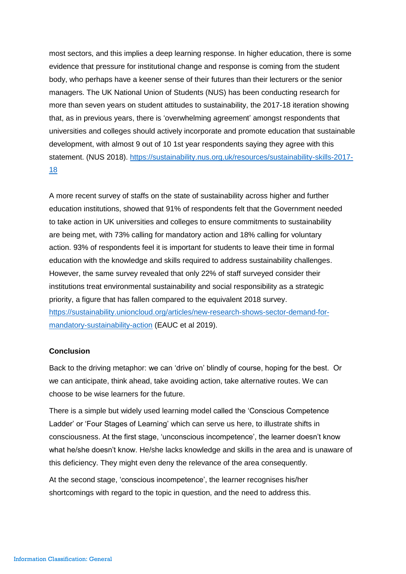most sectors, and this implies a deep learning response. In higher education, there is some evidence that pressure for institutional change and response is coming from the student body, who perhaps have a keener sense of their futures than their lecturers or the senior managers. The UK National Union of Students (NUS) has been conducting research for more than seven years on student attitudes to sustainability, the 2017-18 iteration showing that, as in previous years, there is 'overwhelming agreement' amongst respondents that universities and colleges should actively incorporate and promote education that sustainable development, with almost 9 out of 10 1st year respondents saying they agree with this statement. (NUS 2018). [https://sustainability.nus.org.uk/resources/sustainability-skills-2017-](https://sustainability.nus.org.uk/resources/sustainability-skills-2017-18) [18](https://sustainability.nus.org.uk/resources/sustainability-skills-2017-18)

A more recent survey of staffs on the state of sustainability across higher and further education institutions, showed that 91% of respondents felt that the Government needed to take action in UK universities and colleges to ensure commitments to sustainability are being met, with 73% calling for mandatory action and 18% calling for voluntary action. 93% of respondents feel it is important for students to leave their time in formal education with the knowledge and skills required to address sustainability challenges. However, the same survey revealed that only 22% of staff surveyed consider their institutions treat environmental sustainability and social responsibility as a strategic priority, a figure that has fallen compared to the equivalent 2018 survey. [https://sustainability.unioncloud.org/articles/new-research-shows-sector-demand-for](https://sustainability.unioncloud.org/articles/new-research-shows-sector-demand-for-mandatory-sustainability-action)[mandatory-sustainability-action](https://sustainability.unioncloud.org/articles/new-research-shows-sector-demand-for-mandatory-sustainability-action) (EAUC et al 2019).

## **Conclusion**

Back to the driving metaphor: we can 'drive on' blindly of course, hoping for the best. Or we can anticipate, think ahead, take avoiding action, take alternative routes. We can choose to be wise learners for the future.

There is a simple but widely used learning model called the 'Conscious Competence Ladder' or 'Four Stages of Learning' which can serve us here, to illustrate shifts in consciousness. At the first stage, 'unconscious incompetence', the learner doesn't know what he/she doesn't know. He/she lacks knowledge and skills in the area and is unaware of this deficiency. They might even deny the relevance of the area consequently.

At the second stage, 'conscious incompetence', the learner recognises his/her shortcomings with regard to the topic in question, and the need to address this.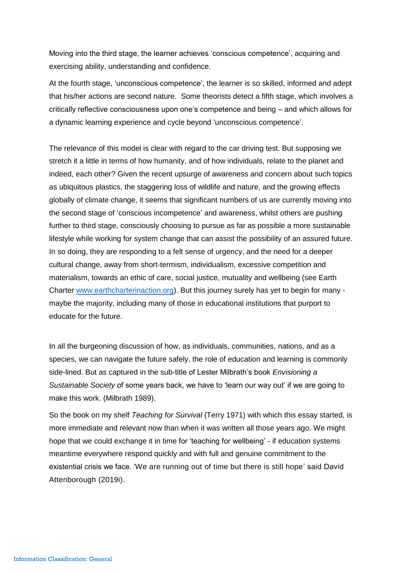Moving into the third stage, the learner achieves 'conscious competence', acquiring and exercising ability, understanding and confidence.

At the fourth stage, 'unconscious competence', the learner is so skilled, informed and adept that his/her actions are second nature. Some theorists detect a fifth stage, which involves a critically reflective consciousness upon one's competence and being – and which allows for a dynamic learning experience and cycle beyond 'unconscious competence'.

The relevance of this model is clear with regard to the car driving test. But supposing we stretch it a little in terms of how humanity, and of how individuals, relate to the planet and indeed, each other? Given the recent upsurge of awareness and concern about such topics as ubiquitous plastics, the staggering loss of wildlife and nature, and the growing effects globally of climate change, it seems that significant numbers of us are currently moving into the second stage of 'conscious incompetence' and awareness, whilst others are pushing further to third stage, consciously choosing to pursue as far as possible a more sustainable lifestyle while working for system change that can assist the possibility of an assured future. In so doing, they are responding to a felt sense of urgency, and the need for a deeper cultural change, away from short-termism, individualism, excessive competition and materialism, towards an ethic of care, social justice, mutuality and wellbeing (see Earth Charter [www.earthcharterinaction.org\)](http://www.earthcharterinaction.org/). But this journey surely has yet to begin for many maybe the majority, including many of those in educational institutions that purport to educate for the future.

In all the burgeoning discussion of how, as individuals, communities, nations, and as a species, we can navigate the future safely, the role of education and learning is commonly side-lined. But as captured in the sub-title of Lester Milbrath's book *Envisioning a Sustainable Society* of some years back, we have to 'learn our way out' if we are going to make this work. (Milbrath 1989).

So the book on my shelf *Teaching for Survival* (Terry 1971) with which this essay started, is more immediate and relevant now than when it was written all those years ago. We might hope that we could exchange it in time for 'teaching for wellbeing' - if education systems meantime everywhere respond quickly and with full and genuine commitment to the existential crisis we face. 'We are running out of time but there is still hope' said David Attenborough (2019i).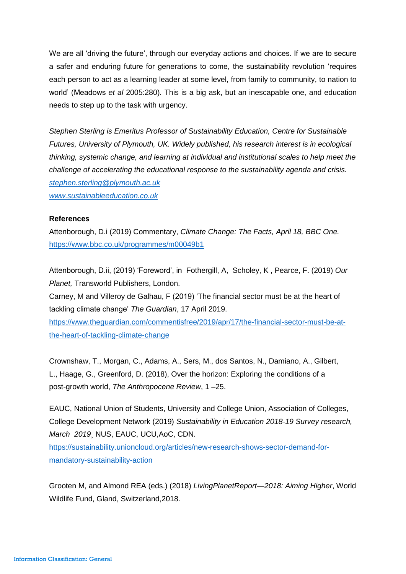We are all 'driving the future', through our everyday actions and choices. If we are to secure a safer and enduring future for generations to come, the sustainability revolution 'requires each person to act as a learning leader at some level, from family to community, to nation to world' (Meadows *et al* 2005:280). This is a big ask, but an inescapable one, and education needs to step up to the task with urgency.

*Stephen Sterling is Emeritus Professor of Sustainability Education, Centre for Sustainable Futures, University of Plymouth, UK. Widely published, his research interest is in ecological thinking, systemic change, and learning at individual and institutional scales to help meet the challenge of accelerating the educational response to the sustainability agenda and crisis. [stephen.sterling@plymouth.ac.uk](mailto:stephen.sterling@plymouth.ac.uk)*

*[www.sustainableeducation.co.uk](http://www.sustainableeducation.co.uk/)*

## **References**

Attenborough, D.i (2019) Commentary, *Climate Change: The Facts, April 18, BBC One.* <https://www.bbc.co.uk/programmes/m00049b1>

Attenborough, D.ii, (2019) 'Foreword', in [Fothergill,](https://www.goodreads.com/author/show/231921.Alastair_Fothergill) A, [Scholey,](https://www.goodreads.com/author/show/1786889.Keith_Scholey) K , [Pearce,](https://www.goodreads.com/author/show/5921.Fred_Pearce) F. (2019) *Our Planet,* Transworld Publishers, London.

Carney, M and Villeroy de Galhau, F (2019) 'The financial sector must be at the heart of tackling climate change' *The Guardian*, 17 April 2019.

[https://www.theguardian.com/commentisfree/2019/apr/17/the-financial-sector-must-be-at](https://www.theguardian.com/commentisfree/2019/apr/17/the-financial-sector-must-be-at-the-heart-of-tackling-climate-change)[the-heart-of-tackling-climate-change](https://www.theguardian.com/commentisfree/2019/apr/17/the-financial-sector-must-be-at-the-heart-of-tackling-climate-change)

Crownshaw, T., Morgan, C., Adams, A., Sers, M., dos Santos, N., Damiano, A., Gilbert, L., Haage, G., Greenford, D. (2018), Over the horizon: Exploring the conditions of a post-growth world, *The Anthropocene Review*, 1 –25.

EAUC, National Union of Students, University and College Union, Association of Colleges, College Development Network (2019) *Sustainability in Education 2018-19 Survey research, March 2019*¸ NUS, EAUC, UCU,AoC, CDN.

[https://sustainability.unioncloud.org/articles/new-research-shows-sector-demand-for](https://sustainability.unioncloud.org/articles/new-research-shows-sector-demand-for-mandatory-sustainability-action)[mandatory-sustainability-action](https://sustainability.unioncloud.org/articles/new-research-shows-sector-demand-for-mandatory-sustainability-action)

Grooten M, and Almond REA (eds.) (2018) *LivingPlanetReport—2018: Aiming Higher*, World Wildlife Fund, Gland, Switzerland,2018.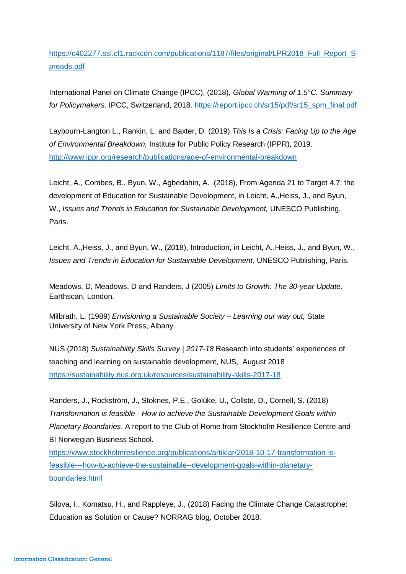[https://c402277.ssl.cf1.rackcdn.com/publications/1187/files/original/LPR2018\\_Full\\_Report\\_S](https://c402277.ssl.cf1.rackcdn.com/publications/1187/files/original/LPR2018_Full_Report_Spreads.pdf) [preads.pdf](https://c402277.ssl.cf1.rackcdn.com/publications/1187/files/original/LPR2018_Full_Report_Spreads.pdf)

International Panel on Climate Change (IPCC), (2018), *Global Warming of 1.5°C. Summary for Policymakers*. IPCC, Switzerland, 2018. [https://report.ipcc.ch/sr15/pdf/sr15\\_spm\\_final.pdf](https://report.ipcc.ch/sr15/pdf/sr15_spm_final.pdf)

Laybourn-Langton L., Rankin, L. and Baxter, D. (2019) *This Is a Crisis: Facing Up to the Age of Environmental Breakdown,* Institute for Public Policy Research (IPPR), 2019. <http://www.ippr.org/research/publications/age-of-environmental-breakdown>

Leicht, A., Combes, B., Byun, W., Agbedahin, A. (2018), From Agenda 21 to Target 4.7: the development of Education for Sustainable Development, in Leicht, A.,Heiss, J., and Byun, W., *Issues and Trends in Education for Sustainable Development,* UNESCO Publishing, Paris.

Leicht, A.,Heiss, J., and Byun, W., (2018), Introduction, in Leicht, A.,Heiss, J., and Byun, W., *Issues and Trends in Education for Sustainable Development,* UNESCO Publishing, Paris.

Meadows, D, Meadows, D and Randers, J (2005) *Limits to Growth: The 30-year Update,*  Earthscan, London.

Milbrath, L. (1989) *Envisioning a Sustainable Society – Learning our way out,* State University of New York Press, Albany.

NUS (2018) *Sustainability Skills Survey | 2017-18* Research into students' experiences of teaching and learning on sustainable development, NUS, August 2018 <https://sustainability.nus.org.uk/resources/sustainability-skills-2017-18>

Randers, J., Rockström, J., Stoknes, P.E., Golüke, U., Collste, D., Cornell, S. (2018) *Transformation is feasible - How to achieve the Sustainable Development Goals within Planetary Boundaries*. A report to the Club of Rome from Stockholm Resilience Centre and BI Norwegian Business School.

[https://www.stockholmresilience.org/publications/artiklar/2018-10-17-transformation-is](https://www.stockholmresilience.org/publications/artiklar/2018-10-17-transformation-is-feasible---how-to-achieve-the-sustainable--development-goals-within-planetary-boundaries.html)[feasible---how-to-achieve-the-sustainable--development-goals-within-planetary](https://www.stockholmresilience.org/publications/artiklar/2018-10-17-transformation-is-feasible---how-to-achieve-the-sustainable--development-goals-within-planetary-boundaries.html)[boundaries.html](https://www.stockholmresilience.org/publications/artiklar/2018-10-17-transformation-is-feasible---how-to-achieve-the-sustainable--development-goals-within-planetary-boundaries.html)

Silova, I., Komatsu, H., and Rappleye, J., (2018) Facing the Climate Change Catastrophe: Education as Solution or Cause? NORRAG blog, October 2018.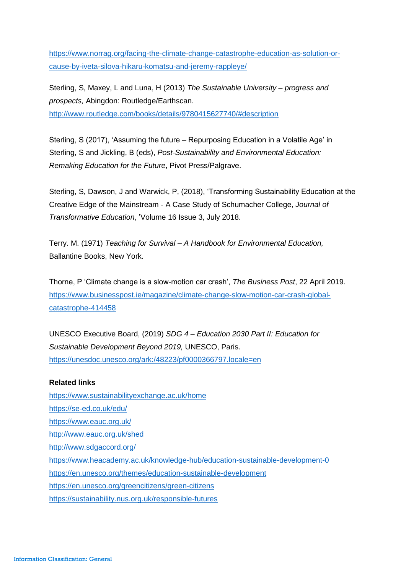[https://www.norrag.org/facing-the-climate-change-catastrophe-education-as-solution-or](https://www.norrag.org/facing-the-climate-change-catastrophe-education-as-solution-or-cause-by-iveta-silova-hikaru-komatsu-and-jeremy-rappleye/)[cause-by-iveta-silova-hikaru-komatsu-and-jeremy-rappleye/](https://www.norrag.org/facing-the-climate-change-catastrophe-education-as-solution-or-cause-by-iveta-silova-hikaru-komatsu-and-jeremy-rappleye/)

Sterling, S, Maxey, L and Luna, H (2013) *The Sustainable University – progress and prospects,* Abingdon: Routledge/Earthscan. <http://www.routledge.com/books/details/9780415627740/#description>

Sterling, S (2017), 'Assuming the future – Repurposing Education in a Volatile Age' in Sterling, S and Jickling, B (eds), *Post-Sustainability and Environmental Education: Remaking Education for the Future*, Pivot Press/Palgrave.

Sterling, S, Dawson, J and Warwick, P, (2018), 'Transforming Sustainability Education at the Creative Edge of the Mainstream - A Case Study of Schumacher College, *Journal of Transformative Education*, 'Volume 16 Issue 3, July 2018.

Terry. M. (1971) *Teaching for Survival – A Handbook for Environmental Education,*  Ballantine Books, New York.

Thorne, P 'Climate change is a slow-motion car crash', *The Business Post*, 22 April 2019. [https://www.businesspost.ie/magazine/climate-change-slow-motion-car-crash-global](https://www.businesspost.ie/magazine/climate-change-slow-motion-car-crash-global-catastrophe-414458)[catastrophe-414458](https://www.businesspost.ie/magazine/climate-change-slow-motion-car-crash-global-catastrophe-414458)

UNESCO Executive Board, (2019) *SDG 4 – Education 2030 Part II: Education for Sustainable Development Beyond 2019,* UNESCO, Paris. <https://unesdoc.unesco.org/ark:/48223/pf0000366797.locale=en>

## **Related links**

<https://www.sustainabilityexchange.ac.uk/home> <https://se-ed.co.uk/edu/> <https://www.eauc.org.uk/> <http://www.eauc.org.uk/shed> <http://www.sdgaccord.org/> <https://www.heacademy.ac.uk/knowledge-hub/education-sustainable-development-0> <https://en.unesco.org/themes/education-sustainable-development> <https://en.unesco.org/greencitizens/green-citizens> <https://sustainability.nus.org.uk/responsible-futures>